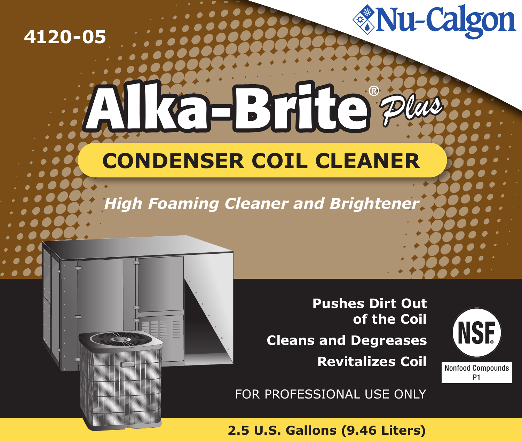# **4120-05**

# **CONDENSER COIL CLEANER Alka-Brite** *Plus*

*High Foaming Cleaner and Brightener*

**Pushes Dirt Out of the Coil Cleans and Degreases Revitalizes Coil**



*<u>Mu-Calgon</u>* 

FOR PROFESSIONAL USE ONLY

**2.5 U.S. Gallons (9.46 Liters)**